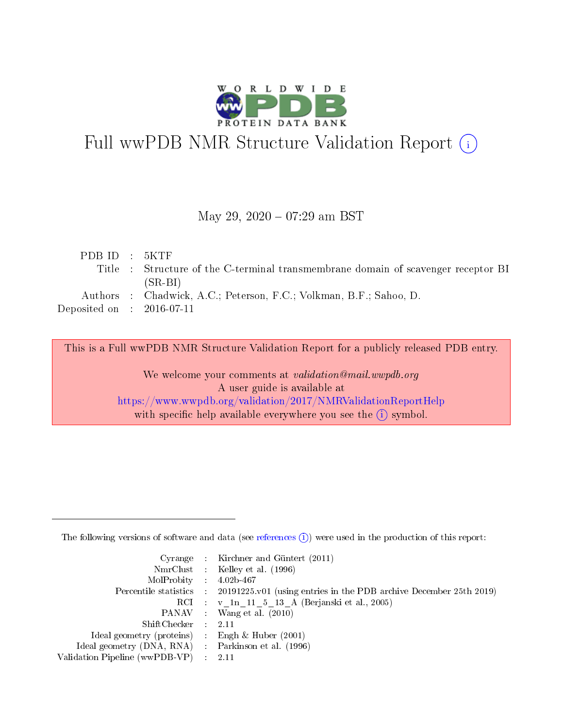

# Full wwPDB NMR Structure Validation Report (i)

# May 29, 2020 - 07:29 am BST

| PDBID : 5KTF                         |                                                                                   |
|--------------------------------------|-----------------------------------------------------------------------------------|
|                                      | Title : Structure of the C-terminal transmembrane domain of scavenger receptor BI |
|                                      | $(SR-BI)$                                                                         |
|                                      | Authors : Chadwick, A.C.; Peterson, F.C.; Volkman, B.F.; Sahoo, D.                |
| Deposited on $\therefore$ 2016-07-11 |                                                                                   |
|                                      |                                                                                   |

This is a Full wwPDB NMR Structure Validation Report for a publicly released PDB entry.

We welcome your comments at *validation@mail.wwpdb.org* A user guide is available at <https://www.wwpdb.org/validation/2017/NMRValidationReportHelp> with specific help available everywhere you see the  $(i)$  symbol.

The following versions of software and data (see [references](https://www.wwpdb.org/validation/2017/NMRValidationReportHelp#references)  $(1)$ ) were used in the production of this report:

|                                                     | Cyrange : Kirchner and Güntert (2011)                                                      |
|-----------------------------------------------------|--------------------------------------------------------------------------------------------|
|                                                     | NmrClust : Kelley et al. (1996)                                                            |
| $MolProbability$ 4.02b-467                          |                                                                                            |
|                                                     | Percentile statistics : 20191225.v01 (using entries in the PDB archive December 25th 2019) |
|                                                     | RCI : v 1n 11 5 13 A (Berjanski et al., 2005)                                              |
|                                                     | PANAV : Wang et al. (2010)                                                                 |
| $ShiftChecker$ : 2.11                               |                                                                                            |
| Ideal geometry (proteins) : Engh $\&$ Huber (2001)  |                                                                                            |
| Ideal geometry (DNA, RNA) : Parkinson et al. (1996) |                                                                                            |
| Validation Pipeline (wwPDB-VP)                      | - 2.11                                                                                     |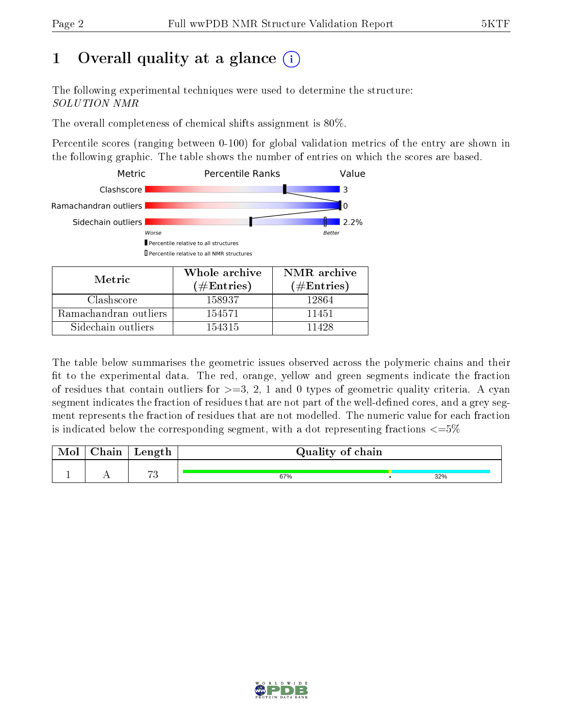# 1 [O](https://www.wwpdb.org/validation/2017/NMRValidationReportHelp#overall_quality)verall quality at a glance (i)

The following experimental techniques were used to determine the structure: SOLUTION NMR

The overall completeness of chemical shifts assignment is 80%.

Percentile scores (ranging between 0-100) for global validation metrics of the entry are shown in the following graphic. The table shows the number of entries on which the scores are based.



Sidechain outliers 154315 11428

The table below summarises the geometric issues observed across the polymeric chains and their fit to the experimental data. The red, orange, yellow and green segments indicate the fraction of residues that contain outliers for  $>=$  3, 2, 1 and 0 types of geometric quality criteria. A cyan segment indicates the fraction of residues that are not part of the well-defined cores, and a grey segment represents the fraction of residues that are not modelled. The numeric value for each fraction is indicated below the corresponding segment, with a dot representing fractions  $\epsilon = 5\%$ 

| Chain | Length          | Quality of chain |     |  |  |  |  |  |  |  |  |
|-------|-----------------|------------------|-----|--|--|--|--|--|--|--|--|
|       | $\mapsto$<br>ιu | 67%              | 32% |  |  |  |  |  |  |  |  |

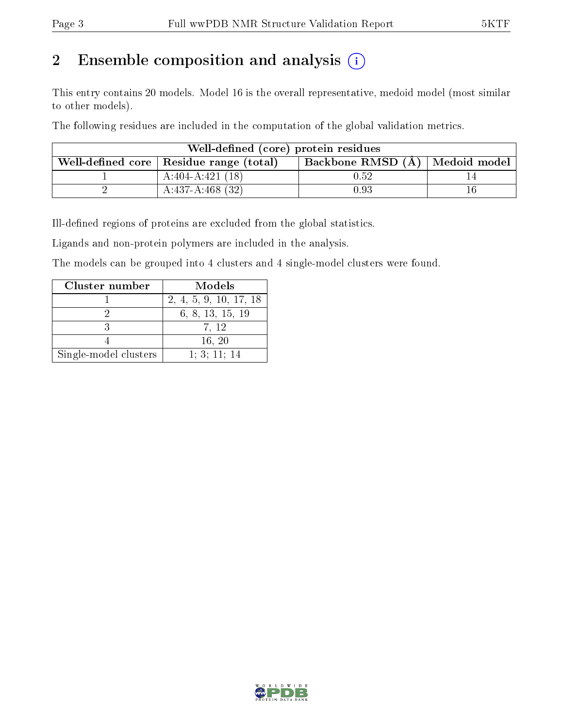# 2 Ensemble composition and analysis  $(i)$

This entry contains 20 models. Model 16 is the overall representative, medoid model (most similar to other models).

The following residues are included in the computation of the global validation metrics.

| Well-defined (core) protein residues |                                           |                                    |    |  |  |  |  |  |  |
|--------------------------------------|-------------------------------------------|------------------------------------|----|--|--|--|--|--|--|
|                                      | Well-defined core   Residue range (total) | Backbone RMSD $(A)$   Medoid model |    |  |  |  |  |  |  |
|                                      | $A:404-A:421(18)$                         | 0.52                               |    |  |  |  |  |  |  |
|                                      | $A:437-A:468(32)$                         | 0.93                               | Тb |  |  |  |  |  |  |

Ill-defined regions of proteins are excluded from the global statistics.

Ligands and non-protein polymers are included in the analysis.

The models can be grouped into 4 clusters and 4 single-model clusters were found.

| Cluster number        | Models                 |
|-----------------------|------------------------|
|                       | 2, 4, 5, 9, 10, 17, 18 |
|                       | 6, 8, 13, 15, 19       |
|                       | 7, 12                  |
|                       | 16, 20                 |
| Single-model clusters | 1; 3; 11; 14           |

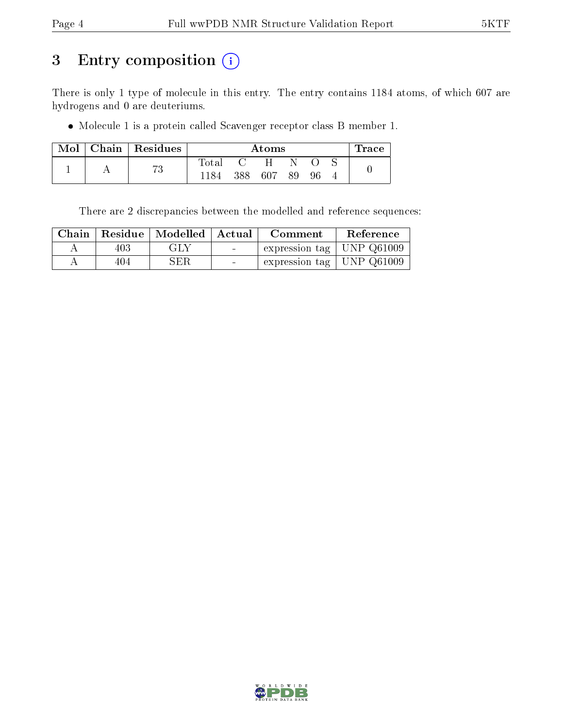# 3 Entry composition (i)

There is only 1 type of molecule in this entry. The entry contains 1184 atoms, of which 607 are hydrogens and 0 are deuteriums.

Molecule 1 is a protein called Scavenger receptor class B member 1.

|  | $Mol$   Chain   Residues |                | $\operatorname{Trace}$<br>Atoms |     |    |    |  |  |  |  |  |  |
|--|--------------------------|----------------|---------------------------------|-----|----|----|--|--|--|--|--|--|
|  | mη                       | $_{\rm Total}$ |                                 | H   |    |    |  |  |  |  |  |  |
|  |                          | 1184           | 388-                            | 607 | 89 | 96 |  |  |  |  |  |  |

There are 2 discrepancies between the modelled and reference sequences:

|     | Chain   Residue   Modelled   Actual |                                   | Comment                       | Reference |  |  |  |
|-----|-------------------------------------|-----------------------------------|-------------------------------|-----------|--|--|--|
| 403 | GLY                                 | <b>Contract Contract Contract</b> | expression tag   UNP $Q61009$ |           |  |  |  |
| 404 | SER                                 |                                   | expression tag   UNP $Q61009$ |           |  |  |  |

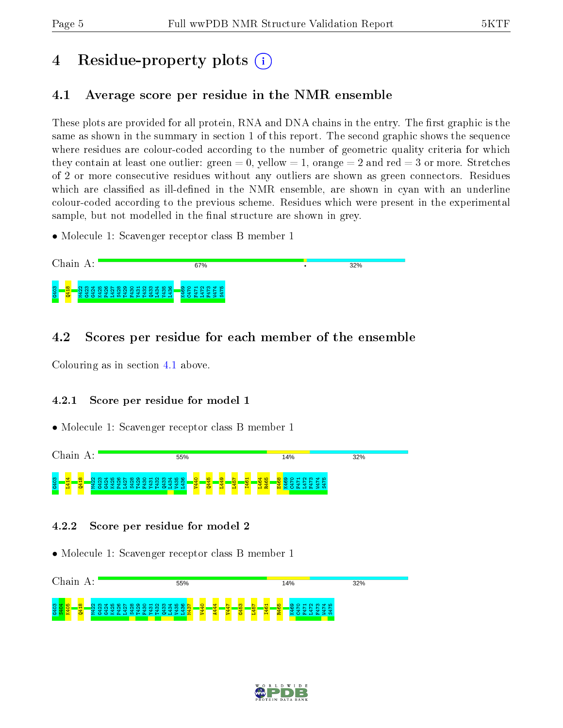# 4 Residue-property plots  $\binom{1}{1}$

# <span id="page-4-0"></span>4.1 Average score per residue in the NMR ensemble

These plots are provided for all protein, RNA and DNA chains in the entry. The first graphic is the same as shown in the summary in section 1 of this report. The second graphic shows the sequence where residues are colour-coded according to the number of geometric quality criteria for which they contain at least one outlier: green  $= 0$ , yellow  $= 1$ , orange  $= 2$  and red  $= 3$  or more. Stretches of 2 or more consecutive residues without any outliers are shown as green connectors. Residues which are classified as ill-defined in the NMR ensemble, are shown in cyan with an underline colour-coded according to the previous scheme. Residues which were present in the experimental sample, but not modelled in the final structure are shown in grey.

• Molecule 1: Scavenger receptor class B member 1



# 4.2 Scores per residue for each member of the ensemble

Colouring as in section [4.1](#page-4-0) above.

# 4.2.1 Score per residue for model 1

• Molecule 1: Scavenger receptor class B member 1



# 4.2.2 Score per residue for model 2



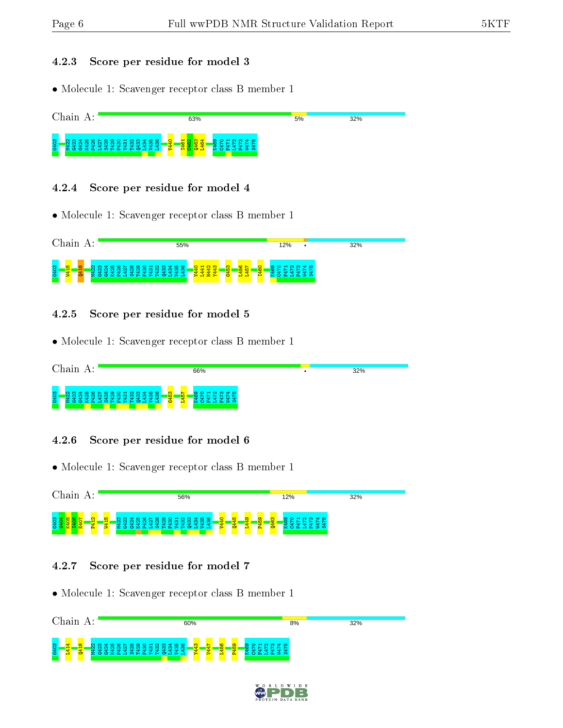#### 4.2.3 Score per residue for model 3

• Molecule 1: Scavenger receptor class B member 1



#### 4.2.4 Score per residue for model 4

• Molecule 1: Scavenger receptor class B member 1

|      | . t vn | д |   |         |   |   |   |        |        |   |                  | 55%    |                   |     |              |   |        |                               |                    |   | 12% |  |               |  | 32% |  |  |
|------|--------|---|---|---------|---|---|---|--------|--------|---|------------------|--------|-------------------|-----|--------------|---|--------|-------------------------------|--------------------|---|-----|--|---------------|--|-----|--|--|
| G403 | − 1    |   | ÷ | m<br>הו | ÷ | ∍ | ⊣ | $\sim$ | ന<br>ᆊ | ന | ່ 4 10 10 1<br>ന | ൹<br>ᆎ | त<br>$\mathbf{d}$ | 441 | a<br>ਚਾ<br>œ | ₩ | ю<br>Ġ | ¢<br>嚊<br><b>SC</b><br>н<br>е | ⌒<br><b>O</b><br>Ĥ | w |     |  | ഹ<br>÷<br>. . |  |     |  |  |

### 4.2.5 Score per residue for model 5

• Molecule 1: Scavenger receptor class B member 1

| $\cap$ <sub>h</sub><br>າຂາກ                                                  | 66%                                                                                                          | 32% |
|------------------------------------------------------------------------------|--------------------------------------------------------------------------------------------------------------|-----|
| 6403<br>C N C O O O O O O O O<br>ന<br>ത.<br>ന<br>w<br>æ<br>÷.<br><b>STAR</b> | ത<br>$\mathbf{H}$<br>ഥ<br>രെ<br>$\overline{\phantom{a}}$<br>$\sim$<br><b>IO</b><br>盘<br>$\bullet$<br>u<br>E. |     |

### 4.2.6 Score per residue for model 6

• Molecule 1: Scavenger receptor class B member 1

| $\alpha$ <sub>hajn</sub>                        | 56%                               | 12%                                                           | 32% |
|-------------------------------------------------|-----------------------------------|---------------------------------------------------------------|-----|
| <b>CO</b><br>ុទ្ធ<br>$\blacksquare$<br><b>C</b> | 0000000000000000<br><u>ួ</u><br>ന | ് ഹ<br>ന<br>ග.<br>$\sim$<br>m<br>зω<br><b>True</b><br>7 May 2 |     |

### 4.2.7 Score per residue for model 7



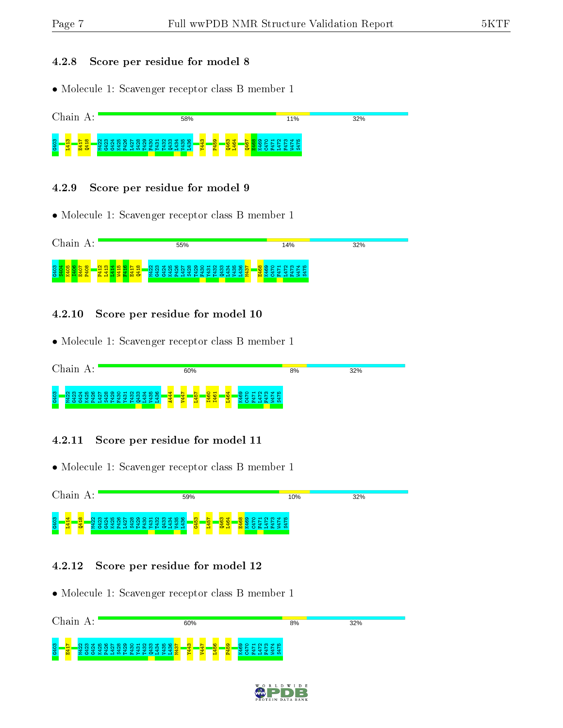#### 4.2.8 Score per residue for model 8

• Molecule 1: Scavenger receptor class B member 1



#### 4.2.9 Score per residue for model 9

• Molecule 1: Scavenger receptor class B member 1



#### 4.2.10 Score per residue for model 10

• Molecule 1: Scavenger receptor class B member 1

| $\cap$             |                   | 60% | 8%                | 32% |
|--------------------|-------------------|-----|-------------------|-----|
| 0.403<br>⊲+ ഥ<br>ന | <b>CACCACACAC</b> | ÷   | <b>QD TO</b><br>- |     |

### 4.2.11 Score per residue for model 11

• Molecule 1: Scavenger receptor class B member 1

| $\cap$ 1<br>1a i n                  | 59%                       | 10%                                     | 32% |
|-------------------------------------|---------------------------|-----------------------------------------|-----|
| G403<br>⊲+ ഥ<br>$\circ$ $\sim$<br>m | $\frac{8}{5}$<br>o.<br>÷. | $m \notin \mathcal{D}$<br>്പ<br>O<br>⊶. |     |

### 4.2.12 Score per residue for model 12



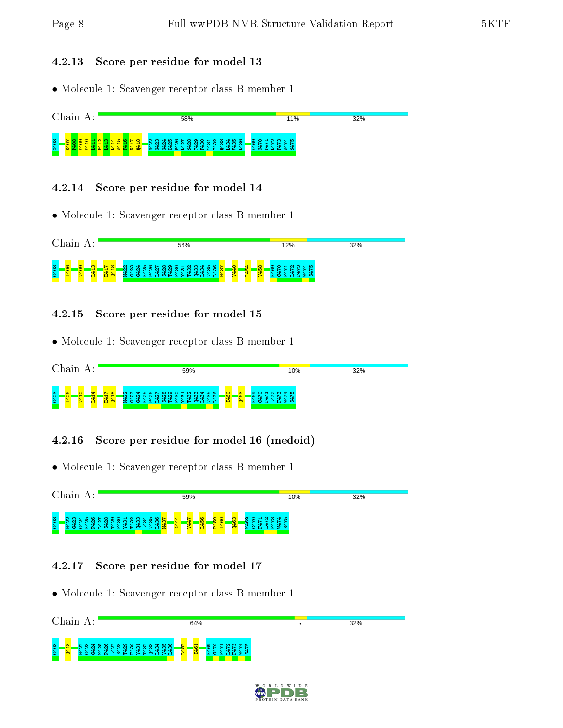#### 4.2.13 Score per residue for model 13

• Molecule 1: Scavenger receptor class B member 1



#### 4.2.14 Score per residue for model 14

• Molecule 1: Scavenger receptor class B member 1



### 4.2.15 Score per residue for model 15

• Molecule 1: Scavenger receptor class B member 1

|      | 'hain |   |   |          |                 |        |                   |           |                  |     |   |           |     | 59% |       |                            |  |                           |                      |   |   |                |                  |        | 10% |  |  |  |  | 32% |  |  |  |
|------|-------|---|---|----------|-----------------|--------|-------------------|-----------|------------------|-----|---|-----------|-----|-----|-------|----------------------------|--|---------------------------|----------------------|---|---|----------------|------------------|--------|-----|--|--|--|--|-----|--|--|--|
| G403 |       | H | ⊣ | -<br>E41 | $\infty$<br>041 | m<br>œ | - 55<br><b>CS</b> | _ര യ<br>æ | $\approx$ $\sim$ | . . | m | <b>DE</b> | -41 |     | > 0.0 | <b>COOOH NM456</b><br>$-5$ |  | $\circ$<br><b>CO</b><br>н | <b>m</b><br><b>O</b> | െ | ∽ | ⊣<br><b>DO</b> | ്<br>$H E \ge 0$ | $\sim$ | ≂ ഥ |  |  |  |  |     |  |  |  |

# 4.2.16 Score per residue for model 16 (medoid)

• Molecule 1: Scavenger receptor class B member 1

Chain A: 59% 10%  $32%$ G403 M422 G423 G424 K425 P426 L427 S428 T429 F430 T432 Q433 L434 V435 L436 M437  $444$ V447 L456 P459 I460 Q463 K469 C470 L472 F473 W474 S475 Y431 F471

# 4.2.17 Score per residue for model 17

| Chain<br>A:                                                                                                                                                                | 64%                                                     | 32% |
|----------------------------------------------------------------------------------------------------------------------------------------------------------------------------|---------------------------------------------------------|-----|
| <b>C403</b><br>$\sim$ $\sim$<br>400<br>$\circ$ $\cdot$<br>$\infty$<br>െ<br>ਾ<br>$\overline{\phantom{0}}$<br>ഥ<br>$\circ$<br>ດ ຕ<br>s<br><b>IQ</b><br>ത<br>ಞ<br>×<br>÷<br>- | ⊲∙ ഥ<br>$\sim$<br>◦<br>$\sim$<br>$\mathbf{H}$<br>ີ<br>H |     |

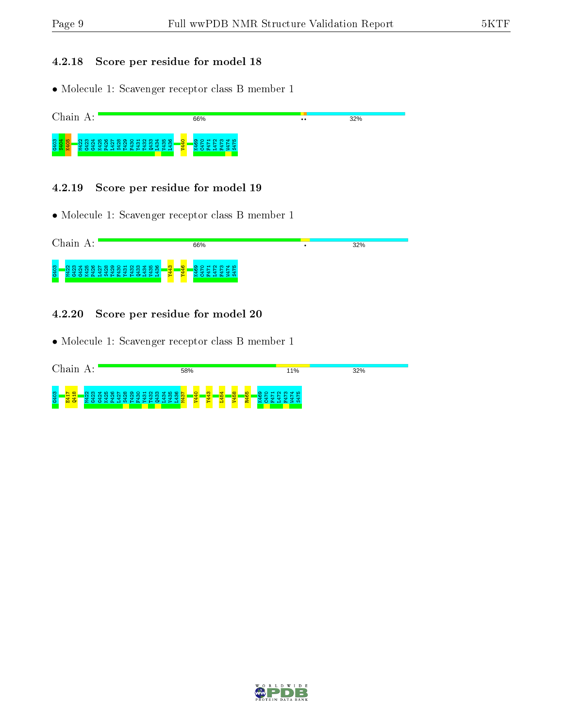## 4.2.18 Score per residue for model 18

• Molecule 1: Scavenger receptor class B member 1



#### 4.2.19 Score per residue for model 19

• Molecule 1: Scavenger receptor class B member 1

|      | Chain<br>А:                                                                                                                    |                    | 66%                             | ٠ | 32% |
|------|--------------------------------------------------------------------------------------------------------------------------------|--------------------|---------------------------------|---|-----|
| G403 | <b>MARQLWOOLUWARG</b><br><b>EPR</b><br><u>m</u><br>ത<br>ന<br>w<br>÷<br><b>A</b><br>÷<br>혼군<br>- 20<br>. ਦਾ ਦਾ<br>÷<br>-<br>r h | <b>O</b><br>₹<br>뢐 | ന<br>הו וה<br>O H N<br>e۲<br>D. |   |     |

## 4.2.20 Score per residue for model 20

|                      | Chain                            |  |   |  |  |                    |                                 |   |            |        |   | 58% |                |                         |         |                       |                |   |                  |        |   | 11% |  |  |  | 32% |  |  |  |
|----------------------|----------------------------------|--|---|--|--|--------------------|---------------------------------|---|------------|--------|---|-----|----------------|-------------------------|---------|-----------------------|----------------|---|------------------|--------|---|-----|--|--|--|-----|--|--|--|
| <sub>co</sub><br>G4O | $\infty$<br>븗<br>m.<br>$\bullet$ |  | - |  |  | <b>The Company</b> | ÷<br>$\rightarrow$ $\leftarrow$ | æ | ಞ<br>$G -$ | -<br>> | m |     | $\overline{a}$ | $\frac{1}{4}$<br>$\sim$ | ਜ<br>IЮ | $\infty$<br><b>IQ</b> | <b>SC</b><br>œ | െ | <b>The State</b> | $\sim$ | ന | ് ക |  |  |  |     |  |  |  |

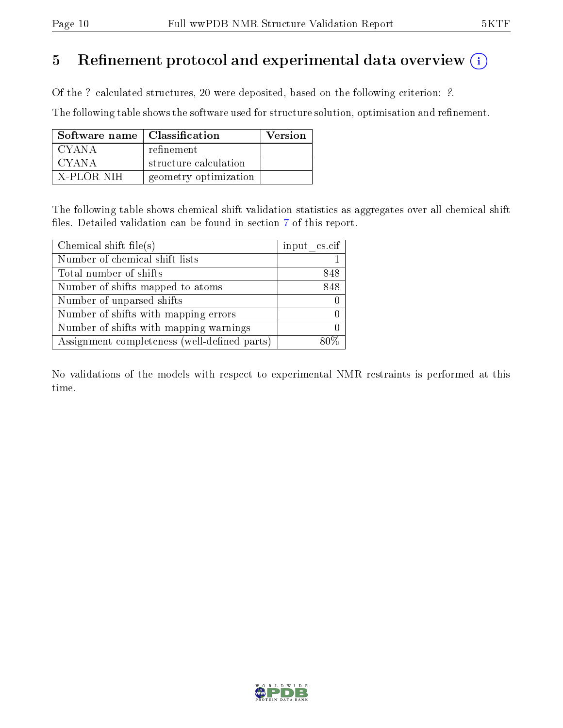# 5 Refinement protocol and experimental data overview  $(i)$

Of the ? calculated structures, 20 were deposited, based on the following criterion: ?.

The following table shows the software used for structure solution, optimisation and refinement.

| Software name   Classification |                       | <b>Version</b> |
|--------------------------------|-----------------------|----------------|
| CYANA.                         | refinement            |                |
| CYANA                          | structure calculation |                |
| X-PLOR NIH                     | geometry optimization |                |

The following table shows chemical shift validation statistics as aggregates over all chemical shift files. Detailed validation can be found in section [7](#page-14-0) of this report.

| Chemical shift file(s)                       | input cs.cif |
|----------------------------------------------|--------------|
| Number of chemical shift lists               |              |
| Total number of shifts                       | 848          |
| Number of shifts mapped to atoms             | 848          |
| Number of unparsed shifts                    |              |
| Number of shifts with mapping errors         |              |
| Number of shifts with mapping warnings       |              |
| Assignment completeness (well-defined parts) |              |

No validations of the models with respect to experimental NMR restraints is performed at this time.

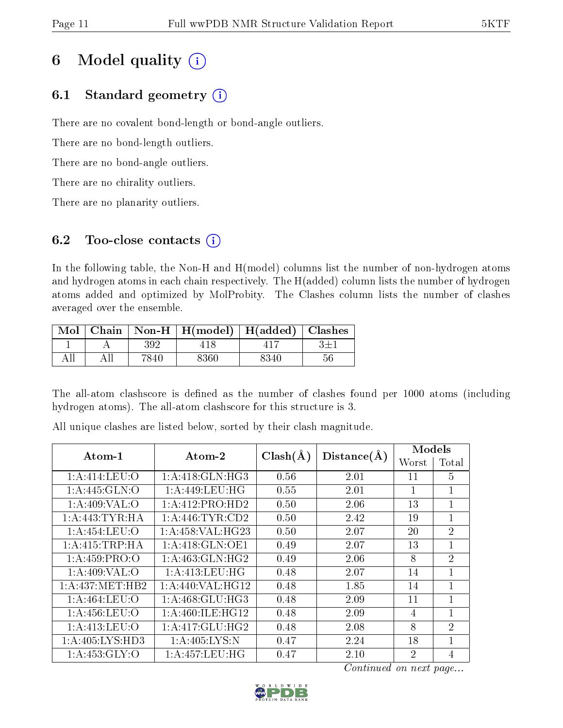# 6 Model quality  $(i)$

# 6.1 Standard geometry  $(i)$

There are no covalent bond-length or bond-angle outliers.

There are no bond-length outliers.

There are no bond-angle outliers.

There are no chirality outliers.

There are no planarity outliers.

# 6.2 Too-close contacts  $(i)$

In the following table, the Non-H and H(model) columns list the number of non-hydrogen atoms and hydrogen atoms in each chain respectively. The H(added) column lists the number of hydrogen atoms added and optimized by MolProbity. The Clashes column lists the number of clashes averaged over the ensemble.

| $\text{Mol}$ |        | Chain   Non-H   $H(model)$   $H(added)$   Clashes |      |    |
|--------------|--------|---------------------------------------------------|------|----|
|              | 392    |                                                   |      |    |
|              | 7840 - | 8360                                              | 8340 | 56 |

The all-atom clashscore is defined as the number of clashes found per 1000 atoms (including hydrogen atoms). The all-atom clashscore for this structure is 3.

| Atom-1                       | $\boldsymbol{\mathrm{Atom}\text{-}2}$ | $Clash(\AA)$ | Distance(A) | Models         |                |  |
|------------------------------|---------------------------------------|--------------|-------------|----------------|----------------|--|
|                              |                                       |              |             | Worst          | Total          |  |
| 1: A: 414: LEU: O            | 1:A:418:GLN:HG3                       | 0.56         | 2.01        | 11             | 5              |  |
| $1: A:445: \overline{GLN:O}$ | 1: A:449: LEU: HG                     | 0.55         | 2.01        | 1              | $\mathbf{1}$   |  |
| 1: A:409: VAL:O              | 1:A:412:PRO:HD2                       | 0.50         | 2.06        | 13             | $\mathbf{1}$   |  |
| 1: A:443: TYR: HA            | 1: A:446: TYR:CD2                     | 0.50         | 2.42        | 19             | $\mathbf{1}$   |  |
| 1:A:454:LEU:O                | 1:A:458:VAL:HG23                      | 0.50         | 2.07        | 20             | $\overline{2}$ |  |
| 1: A: 415: TRP: HA           | 1:A:418:GLN:OE1                       | 0.49         | 2.07        | 13             | $\mathbf{1}$   |  |
| 1: A:459: PRO:O              | 1: A:463: GLN: HG2                    | 0.49         | 2.06        | 8              | $\overline{2}$ |  |
| 1: A:409: VAL:O              | 1: A:413:LEU:HG                       | 0.48         | 2.07        | 14             | $\mathbf{1}$   |  |
| 1:A:437:MET:HB2              | 1:A:440:VAL:HG12                      | 0.48         | 1.85        | 14             | $\mathbf{1}$   |  |
| 1: A:464:LEU:O               | 1: A:468: GLU:HG3                     | 0.48         | 2.09        | 11             | $\mathbf{1}$   |  |
| 1: A: 456: LEU: O            | 1:A:460:ILE:HG12                      | 0.48         | 2.09        | 4              | $\mathbf{1}$   |  |
| 1: A:413: LEU:O              | 1:A:417:GLU:HG2                       | 0.48         | 2.08        | 8              | $\overline{2}$ |  |
| 1:A:405:LYS:HD3              | 1: A:405: LYS:N                       | 0.47         | 2.24        | 18             | $\mathbf{1}$   |  |
| 1:A:453:GLY:O                | 1:A:457:LEU:HG                        | 0.47         | 2.10        | $\overline{2}$ | $\overline{4}$ |  |

All unique clashes are listed below, sorted by their clash magnitude.

Continued on next page...

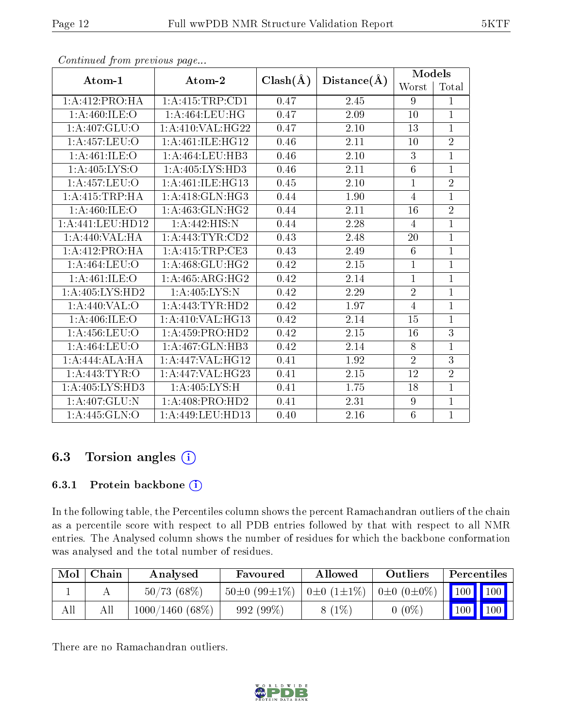| Atom-1            | Atom-2                       | $Clash(\AA)$ | Distance(A) | <b>Models</b>   |                |  |
|-------------------|------------------------------|--------------|-------------|-----------------|----------------|--|
|                   |                              |              |             | Worst           | Total          |  |
| 1:A:412:PRO:HA    | 1: A: 415: TRP: CD1          | 0.47         | 2.45        | 9               | $\mathbf{1}$   |  |
| 1:A:460:ILE:O     | 1:A:464:LEU:HG               | 0.47         | 2.09        | 10              | $\mathbf{1}$   |  |
| 1: A:407: GLU:O   | 1: A:410: VAL:HG22           | 0.47         | 2.10        | 13              | $\overline{1}$ |  |
| 1:A:457:LEU:O     | 1:A:461:ILE:HG12             | 0.46         | 2.11        | 10              | $\overline{2}$ |  |
| 1:A:461:ILE:O     | 1: A:464:LEU:HB3             | 0.46         | 2.10        | 3               | $\mathbf{1}$   |  |
| 1: A:405: LYS:O   | 1:A:405:LYS:HD3              | 0.46         | 2.11        | $6\phantom{.}6$ | $\overline{1}$ |  |
| 1: A: 457: LEU: O | 1:A:461:ILE:HG13             | 0.45         | 2.10        | $\mathbf{1}$    | $\overline{2}$ |  |
| 1: A:415:TRP:HA   | 1:A:418:GLN:HG3              | 0.44         | 1.90        | $\overline{4}$  | $\overline{1}$ |  |
| 1: A:460: ILE:O   | 1:A:463:GLN:HG2              | 0.44         | 2.11        | 16              | $\overline{2}$ |  |
| 1:A:441:LEU:HD12  | 1: A:442: HIS:N              | 0.44         | 2.28        | $\overline{4}$  | $\mathbf{1}$   |  |
| 1: A:440: VAL: HA | 1: A:443: TYR:CD2            | 0.43         | 2.48        | 20              | $\overline{1}$ |  |
| 1:A:412:PRO:HA    | 1:A:415:TRP:CE3              | 0.43         | 2.49        | 6               | $\mathbf{1}$   |  |
| 1:A:464:LEU:O     | 1:A:468:GLU:HG2              | 0.42         | 2.15        | $\mathbf{1}$    | $\mathbf{1}$   |  |
| 1:A:461:ILE:O     | $1:A:465:A\overline{RG:HG2}$ | 0.42         | 2.14        | $\mathbf{1}$    | $\mathbf{1}$   |  |
| 1:A:405:LYS:HD2   | 1: A:405: LYS:N              | 0.42         | 2.29        | $\overline{2}$  | $\mathbf{1}$   |  |
| 1:A:440:VAL:O     | 1: A:443:TYR:HD2             | 0.42         | 1.97        | $\overline{4}$  | $\mathbf{1}$   |  |
| 1: A:406: ILE: O  | 1: A:410: VAL:HG13           | 0.42         | 2.14        | 15              | $\overline{1}$ |  |
| 1: A: 456: LEU: O | 1:A:459:PRO:HD2              | 0.42         | $2.15\,$    | 16              | $\overline{3}$ |  |
| 1:A:464:LEU:O     | 1:A:467:GLN:HB3              | 0.42         | 2.14        | 8               | $\overline{1}$ |  |
| 1:A:444:ALA:HA    | 1: A:447: VAL:HG12           | 0.41         | 1.92        | $\overline{2}$  | 3              |  |
| 1: A:443: TYR:O   | 1:A:447:VAL:HG23             | 0.41         | 2.15        | 12              | $\overline{2}$ |  |
| 1:A:405:LYS:HD3   | 1:A:405:LYS:H                | 0.41         | 1.75        | 18              | $\mathbf{1}$   |  |
| 1:A:407:GLU:N     | 1:A:408:PRO:HD2              | 0.41         | 2.31        | 9               | $\mathbf{1}$   |  |
| 1: A: 445: GLN:O  | 1:A:449:LEU:HD13             | 0.40         | 2.16        | $6\phantom{.}6$ | $\mathbf{1}$   |  |

Continued from previous page...

# 6.3 Torsion angles (i)

# 6.3.1 Protein backbone (i)

In the following table, the Percentiles column shows the percent Ramachandran outliers of the chain as a percentile score with respect to all PDB entries followed by that with respect to all NMR entries. The Analysed column shows the number of residues for which the backbone conformation was analysed and the total number of residues.

| Mol | Chain | Analysed          | Favoured           | Allowed               | Outliers                | Percentiles                  |               |
|-----|-------|-------------------|--------------------|-----------------------|-------------------------|------------------------------|---------------|
|     |       | 50/73(68%)        | $50\pm0(99\pm1\%)$ | $0\pm 0$ $(1\pm 1\%)$ | $0 \pm 0$ $(0 \pm 0\%)$ | $\mid$ 100 $\mid$ 100 $\mid$ |               |
| All |       | $1000/1460(68\%)$ | 992 (99%)          | $8(1\%)$              | $0(0\%)$                |                              | $100$   $100$ |

There are no Ramachandran outliers.

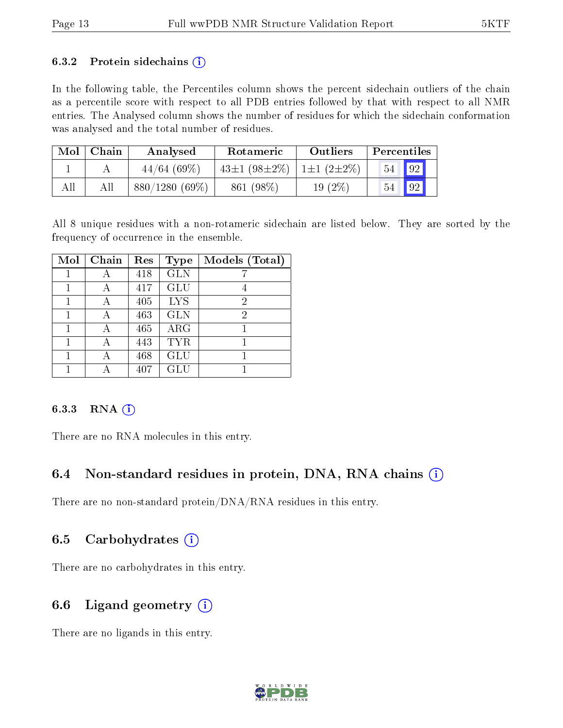#### 6.3.2 Protein sidechains  $(i)$

In the following table, the Percentiles column shows the percent sidechain outliers of the chain as a percentile score with respect to all PDB entries followed by that with respect to all NMR entries. The Analysed column shows the number of residues for which the sidechain conformation was analysed and the total number of residues.

| Mol | Chain | Analysed         | <b>Rotameric</b>                    | Outliers  | Percentiles |    |
|-----|-------|------------------|-------------------------------------|-----------|-------------|----|
|     |       | 44/64(69%)       | 43±1 $(98\pm2\%)$   1±1 $(2\pm2\%)$ |           | $54$ 92     |    |
| All | Αll   | $880/1280(69\%)$ | 861 (98\%)                          | $19(2\%)$ | 54          | 92 |

All 8 unique residues with a non-rotameric sidechain are listed below. They are sorted by the frequency of occurrence in the ensemble.

| Mol | Chain | Res | Type       | Models (Total) |
|-----|-------|-----|------------|----------------|
|     |       | 418 | <b>GLN</b> |                |
|     |       | 417 | GLU        |                |
| 1   |       | 405 | <b>LYS</b> | 2              |
|     | А     | 463 | <b>GLN</b> | 2              |
|     | А     | 465 | ARG        |                |
|     | А     | 443 | <b>TYR</b> |                |
|     |       | 468 | GLU        |                |
|     |       | 407 | GLU        |                |

### 6.3.3 RNA (i)

There are no RNA molecules in this entry.

# 6.4 Non-standard residues in protein, DNA, RNA chains  $(i)$

There are no non-standard protein/DNA/RNA residues in this entry.

# 6.5 Carbohydrates  $(i)$

There are no carbohydrates in this entry.

# 6.6 Ligand geometry  $(i)$

There are no ligands in this entry.

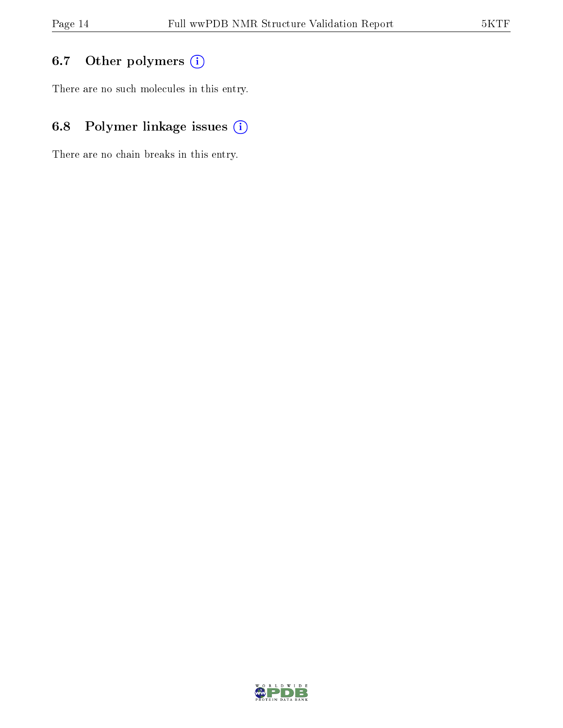# 6.7 [O](https://www.wwpdb.org/validation/2017/NMRValidationReportHelp#nonstandard_residues_and_ligands)ther polymers (i)

There are no such molecules in this entry.

# 6.8 Polymer linkage issues (i)

There are no chain breaks in this entry.

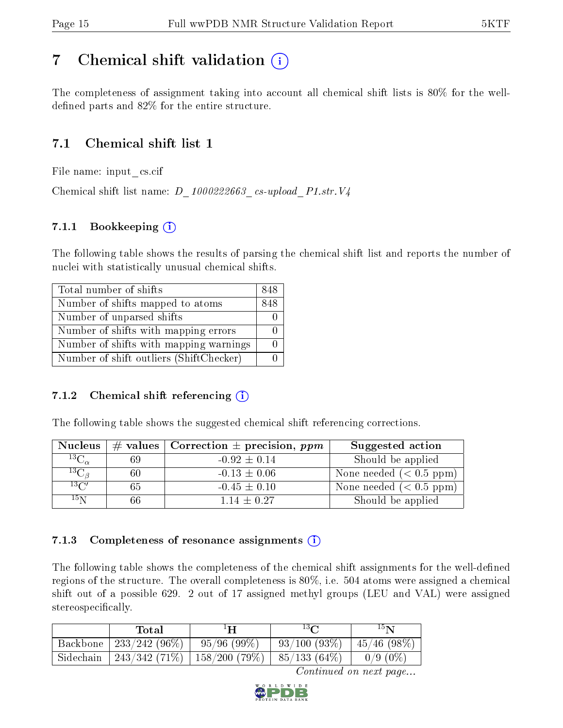# <span id="page-14-0"></span>7 Chemical shift validation  $\left( \begin{array}{c} \overline{1} \end{array} \right)$

The completeness of assignment taking into account all chemical shift lists is 80% for the welldefined parts and  $82\%$  for the entire structure.

# 7.1 Chemical shift list 1

File name: input\_cs.cif

Chemical shift list name:  $D_1000222663$ <sub>cs-upload</sub> P1.str.V4

# 7.1.1 Bookkeeping (i)

The following table shows the results of parsing the chemical shift list and reports the number of nuclei with statistically unusual chemical shifts.

| Total number of shifts                  | 848 |
|-----------------------------------------|-----|
| Number of shifts mapped to atoms        | 848 |
| Number of unparsed shifts               |     |
| Number of shifts with mapping errors    |     |
| Number of shifts with mapping warnings  |     |
| Number of shift outliers (ShiftChecker) |     |

# 7.1.2 Chemical shift referencing  $(i)$

The following table shows the suggested chemical shift referencing corrections.

| <b>Nucleus</b>      |    | $\#$ values   Correction $\pm$ precision, ppm | Suggested action        |
|---------------------|----|-----------------------------------------------|-------------------------|
| ${}^{13}C_{\alpha}$ | 69 | $-0.92 \pm 0.14$                              | Should be applied       |
| ${}^{13}C_{\beta}$  | 60 | $-0.13 \pm 0.06$                              | None needed $(0.5 ppm)$ |
| $13\text{C}$        | 65 | $-0.45 \pm 0.10$                              | None needed $(0.5 ppm)$ |
| $15\,\mathrm{N}$    | 66 | $1.14 \pm 0.27$                               | Should be applied       |

# 7.1.3 Completeness of resonance assignments  $(i)$

The following table shows the completeness of the chemical shift assignments for the well-defined regions of the structure. The overall completeness is 80%, i.e. 504 atoms were assigned a chemical shift out of a possible 629. 2 out of 17 assigned methyl groups (LEU and VAL) were assigned stereospecifically.

|           | Total           | ŀН                                           | $13\Omega$     | $15\mathrm{N}$ |
|-----------|-----------------|----------------------------------------------|----------------|----------------|
| Backbone  | $233/242(96\%)$ | 95/96(99%)                                   | $93/100(93\%)$ | 145/46(98%)    |
| Sidechain |                 | 243/342 (71%)   158/200 (79%)   85/133 (64%) |                | $0/9(0\%)$     |

Continued on next page...